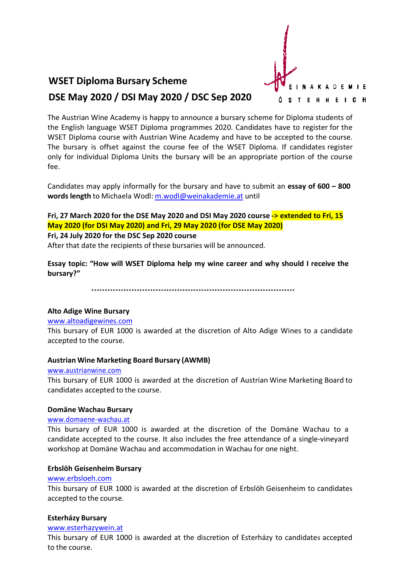# **WSET Diploma Bursary Scheme**



DSE May 2020 / DSI May 2020 / DSC Sep 2020

The Austrian Wine Academy is happy to announce a bursary scheme for Diploma students of the English language WSET Diploma programmes 2020. Candidates have to register for the WSET Diploma course with Austrian Wine Academy and have to be accepted to the course. The bursary is offset against the course fee of the WSET Diploma. If candidates register only for individual Diploma Units the bursary will be an appropriate portion of the course fee.

Candidates may apply informally for the bursary and have to submit an essay of  $600 - 800$ words length to Michaela Wodl: m.wodl@weinakademie.at until

# Fri, 27 March 2020 for the DSE May 2020 and DSI May 2020 course -> extended to Fri, 15 May 2020 (for DSI May 2020) and Fri, 29 May 2020 (for DSE May 2020)

# Fri. 24 July 2020 for the DSC Sep 2020 course

After that date the recipients of these bursaries will be announced.

Essay topic: "How will WSET Diploma help my wine career and why should I receive the bursary?"

# **Alto Adige Wine Bursary**

#### www.altoadigewines.com

This bursary of EUR 1000 is awarded at the discretion of Alto Adige Wines to a candidate accepted to the course.

# **Austrian Wine Marketing Board Bursary (AWMB)**

#### www.austrianwine.com

This bursary of EUR 1000 is awarded at the discretion of Austrian Wine Marketing Board to candidates accepted to the course.

# Domäne Wachau Bursary

# www.domaene-wachau.at

This bursary of EUR 1000 is awarded at the discretion of the Domäne Wachau to a candidate accepted to the course. It also includes the free attendance of a single-vineyard workshop at Domäne Wachau and accommodation in Wachau for one night.

# Erbslöh Geisenheim Bursary

#### www.erbsloeh.com

This bursary of EUR 1000 is awarded at the discretion of Erbslöh Geisenheim to candidates accepted to the course.

# **Esterházy Bursary**

#### www.esterhazywein.at

This bursary of EUR 1000 is awarded at the discretion of Esterházy to candidates accepted to the course.